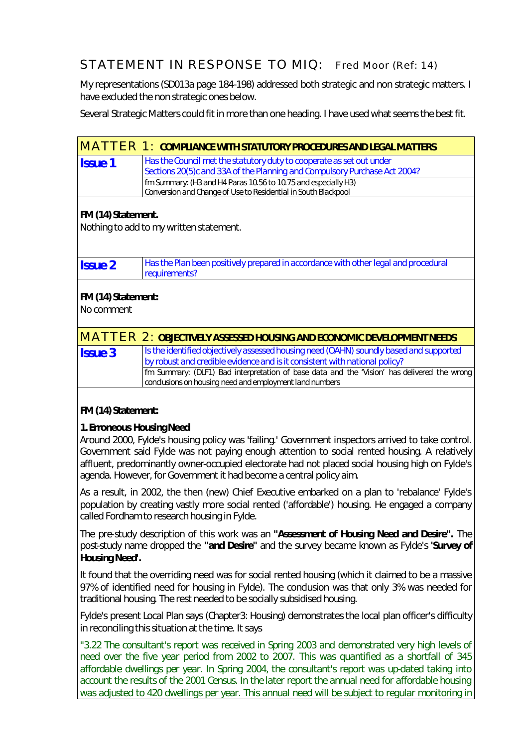## STATEMENT IN RESPONSE TO MIQ: Fred Moor (Ref: 14)

My representations (SD013a page 184-198) addressed both strategic and non strategic matters. I have excluded the non strategic ones below.

Several Strategic Matters could fit in more than one heading. I have used what seems the best fit.

|                                         | <b>MATTER 1: COMPLIANCE WITH STATUTORY PROCEDURES AND LEGAL MATTERS</b>                           |  |
|-----------------------------------------|---------------------------------------------------------------------------------------------------|--|
| <b>Issue 1</b>                          | Has the Council met the statutory duty to cooperate as set out under                              |  |
|                                         | Sections 20(5)c and 33A of the Planning and Compulsory Purchase Act 2004?                         |  |
|                                         | fm Summary: (H3 and H4 Paras 10.56 to 10.75 and especially H3)                                    |  |
|                                         | Conversion and Change of Use to Residential in South Blackpool                                    |  |
|                                         |                                                                                                   |  |
| FM (14) Statement.                      |                                                                                                   |  |
| Nothing to add to my written statement. |                                                                                                   |  |
|                                         |                                                                                                   |  |
|                                         |                                                                                                   |  |
|                                         |                                                                                                   |  |
| <b>Issue 2</b>                          | Has the Plan been positively prepared in accordance with other legal and procedural               |  |
|                                         | requirements?                                                                                     |  |
| FM (14) Statement:                      |                                                                                                   |  |
|                                         |                                                                                                   |  |
| No comment                              |                                                                                                   |  |
|                                         |                                                                                                   |  |
|                                         | <b>MATTER 2: OBJECTIVELY ASSESSED HOUSING AND ECONOMIC DEVELOPMENT NEEDS</b>                      |  |
| <b>Issue 3</b>                          | Is the identified objectively assessed housing need (OAHN) soundly based and supported            |  |
|                                         | by robust and credible evidence and is it consistent with national policy?                        |  |
|                                         | fm Summary: (DLF1) Bad interpretation of base data and the 'Vision' has delivered the wrong       |  |
|                                         | conclusions on housing need and employment land numbers                                           |  |
|                                         |                                                                                                   |  |
|                                         |                                                                                                   |  |
| FM (14) Statement:                      |                                                                                                   |  |
| 1. Erroneous Housing Need               |                                                                                                   |  |
|                                         |                                                                                                   |  |
|                                         | Around 2000, Fylde's housing policy was 'failing.' Government inspectors arrived to take control. |  |
|                                         | Government said Fylde was not paying enough attention to social rented housing. A relatively      |  |
|                                         | affluent, predominantly owner-occupied electorate had not placed social housing high on Fylde's   |  |
|                                         | agenda. However, for Government it had become a central policy aim.                               |  |
|                                         |                                                                                                   |  |
|                                         | As a result, in 2002, the then (new) Chief Executive embarked on a plan to 'rebalance' Fylde's    |  |

population by creating vastly more social rented ('affordable') housing. He engaged a company called Fordham to research housing in Fylde.

The pre-study description of this work was an *"Assessment of Housing Need and Desire".* The post-study name dropped the *"and Desire"* and the survey became known as Fylde's *'Survey of Housing Need'.*

It found that the overriding need was for social rented housing (which it claimed to be a massive 97% of identified need for housing in Fylde). The conclusion was that only 3% was needed for traditional housing. The rest needed to be socially subsidised housing.

Fylde's present Local Plan says (Chapter3: Housing) demonstrates the local plan officer's difficulty in reconciling this situation at the time. It says

*"3.22 The consultant's report was received in Spring 2003 and demonstrated very high levels of need over the five year period from 2002 to 2007. This was quantified as a shortfall of 345 affordable dwellings per year. In Spring 2004, the consultant's report was up-dated taking into account the results of the 2001 Census. In the later report the annual need for affordable housing was adjusted to 420 dwellings per year. This annual need will be subject to regular monitoring in*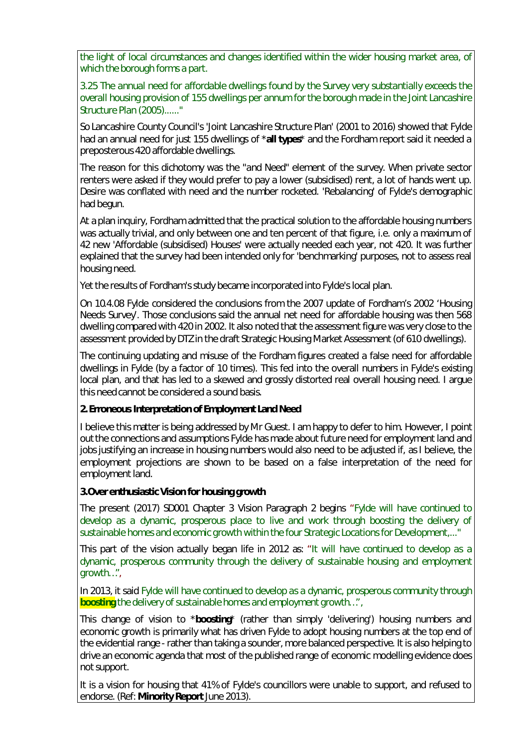*the light of local circumstances and changes identified within the wider housing market area, of which the borough forms a part.*

*3.25 The annual need for affordable dwellings found by the Survey very substantially exceeds the overall housing provision of 155 dwellings per annum for the borough made in the Joint Lancashire Structure Plan (2005)......"*

So Lancashire County Council's 'Joint Lancashire Structure Plan' (2001 to 2016) showed that Fylde had an annual need for just 155 dwellings of \***all types**\* and the Fordham report said it needed a preposterous 420 affordable dwellings.

The reason for this dichotomy was the *"and Need"* element of the survey. When private sector renters were asked if they would prefer to pay a lower (subsidised) rent, a lot of hands went up. Desire was conflated with need and the number rocketed. 'Rebalancing' of Fylde's demographic had begun.

At a plan inquiry, Fordham admitted that the practical solution to the affordable housing numbers was actually trivial, and only between one and ten percent of that figure, i.e. only a maximum of 42 new 'Affordable (subsidised) Houses' were actually needed each year, not 420. It was further explained that the survey had been intended only for 'benchmarking' purposes, not to assess real housing need.

Yet the results of Fordham's study became incorporated into Fylde's local plan.

On 10.4.08 Fylde considered the conclusions from the 2007 update of Fordham's 2002 'Housing Needs Survey'. Those conclusions said the annual net need for affordable housing was then 568 dwelling compared with 420 in 2002. It also noted that the assessment figure was very close to the assessment provided by DTZ in the draft Strategic Housing Market Assessment (of 610 dwellings).

The continuing updating and misuse of the Fordham figures created a false need for affordable dwellings in Fylde (by a factor of 10 times). This fed into the overall numbers in Fylde's existing local plan, and that has led to a skewed and grossly distorted real overall housing need. I argue this need cannot be considered a sound basis.

**2. Erroneous Interpretation of Employment Land Need**

I believe this matter is being addressed by Mr Guest. I am happy to defer to him. However, I point out the connections and assumptions Fylde has made about future need for employment land and jobs justifying an increase in housing numbers would also need to be adjusted if, as I believe, the employment projections are shown to be based on a false interpretation of the need for employment land.

**3.Over enthusiastic Vision for housing growth**

The present (2017) SD001 Chapter 3 Vision Paragraph 2 begins "*Fylde will have continued to develop as a dynamic, prosperous place to live and work through boosting the delivery of sustainable homes and economic growth within the four Strategic Locations for Development,..."*

This part of the vision actually began life in 2012 as: "*It will have continued to develop as a dynamic, prosperous community through the delivery of sustainable housing and employment growth…"*,

In 2013, it said *Fylde will have continued to develop as a dynamic, prosperous community through boosting the delivery of sustainable homes and employment growth…",*

This change of vision to \***boosting**\* (rather than simply 'delivering') housing numbers and economic growth is primarily what has driven Fylde to adopt housing numbers at the top end of the evidential range - rather than taking a sounder, more balanced perspective. It is also helping to drive an economic agenda that most of the published range of economic modelling evidence does not support.

It is a vision for housing that 41% of Fylde's councillors were unable to support, and refused to endorse. (Ref: **Minority Report** June 2013).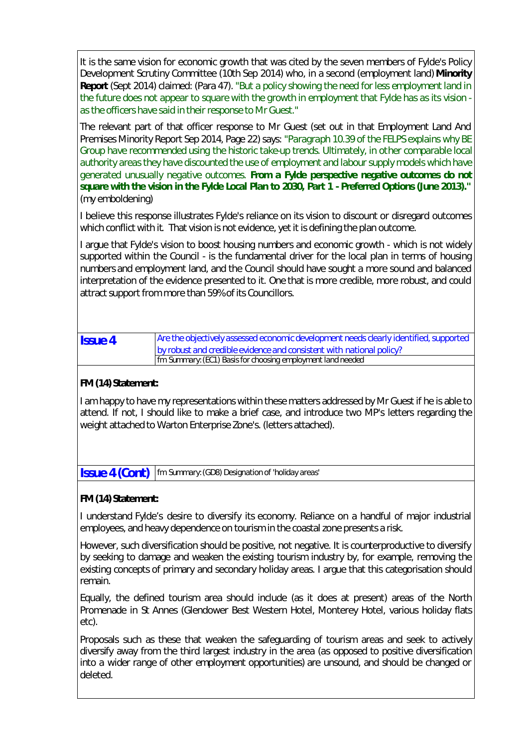It is the same vision for economic growth that was cited by the seven members of Fylde's Policy Development Scrutiny Committee (10th Sep 2014) who, in a second (employment land) **Minority Report** (Sept 2014) claimed: (Para 47). *"But a policy showing the need for less employment land in the future does not appear to square with the growth in employment that Fylde has as its vision as the officers have said in their response to Mr Guest."*

The relevant part of that officer response to Mr Guest (set out in that Employment Land And Premises Minority Report Sep 2014, Page 22) says: *"Paragraph 10.39 of the FELPS explains why BE Group have recommended using the historic take-up trends. Ultimately, in other comparable local authority areas they have discounted the use of employment and labour supply models which have generated unusually negative outcomes. From a Fylde perspective negative outcomes do not square with the vision in the Fylde Local Plan to 2030, Part 1 - Preferred Options (June 2013)."* (my emboldening)

I believe this response illustrates Fylde's reliance on its vision to discount or disregard outcomes which conflict with it. That vision is not evidence, yet it is defining the plan outcome.

I argue that Fylde's vision to boost housing numbers and economic growth - which is not widely supported within the Council - is the fundamental driver for the local plan in terms of housing numbers and employment land, and the Council should have sought a more sound and balanced interpretation of the evidence presented to it. One that is more credible, more robust, and could attract support from more than 59% of its Councillors.

| <b>Issue 4</b> | Are the objectively assessed economic development needs clearly identified, supported |
|----------------|---------------------------------------------------------------------------------------|
|                | by robust and credible evidence and consistent with national policy?                  |
|                | fm Summary: (EC1) Basis for choosing employment land needed                           |

**FM (14) Statement:**

I am happy to have my representations within these matters addressed by Mr Guest if he is able to attend. If not, I should like to make a brief case, and introduce two MP's letters regarding the weight attached to Warton Enterprise Zone's. (letters attached).

**Issue 4 (Cont)** *fm Summary:(GD8) Designation of 'holiday areas'*

**FM (14) Statement:**

I understand Fylde's desire to diversify its economy. Reliance on a handful of major industrial employees, and heavy dependence on tourism in the coastal zone presents a risk.

However, such diversification should be positive, not negative. It is counterproductive to diversify by seeking to damage and weaken the existing tourism industry by, for example, removing the existing concepts of primary and secondary holiday areas. I argue that this categorisation should remain.

Equally, the defined tourism area should include (as it does at present) areas of the North Promenade in St Annes (Glendower Best Western Hotel, Monterey Hotel, various holiday flats etc).

Proposals such as these that weaken the safeguarding of tourism areas and seek to actively diversify away from the third largest industry in the area *(as opposed to positive diversification into a wider range of other employment opportunities)* are unsound, and should be changed or deleted.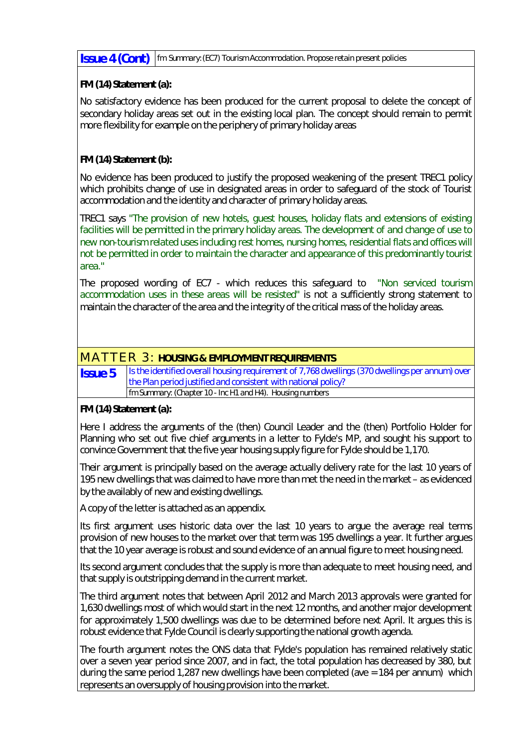**Issue 4 (Cont)** *fm Summary:(EC7) Tourism Accommodation. Propose retain present policies*

**FM (14) Statement (a):**

No satisfactory evidence has been produced for the current proposal to delete the concept of secondary holiday areas set out in the existing local plan. The concept should remain to permit more flexibility for example on the periphery of primary holiday areas

**FM (14) Statement (b):**

No evidence has been produced to justify the proposed weakening of the present TREC1 policy which prohibits change of use in designated areas in order to safeguard of the stock of Tourist accommodation and the identity and character of primary holiday areas.

TREC1 says *"The provision of new hotels, guest houses, holiday flats and extensions of existing facilities will be permitted in the primary holiday areas. The development of and change of use to new non-tourism related uses including rest homes, nursing homes, residential flats and offices will not be permitted in order to maintain the character and appearance of this predominantly tourist area."*

The proposed wording of EC7 - which reduces this safeguard to *"Non serviced tourism accommodation uses in these areas will be resisted"* is not a sufficiently strong statement to maintain the character of the area and the integrity of the critical mass of the holiday areas.

## MATTER 3: **HOUSING & EMPLOYMENT REQUIREMENTS**

*Is the identified overall housing requirement of 7,768 dwellings (370 dwellings per annum) over the Plan period justified and consistent with national policy?* **Issue 5** *fm Summary: (Chapter 10 - Inc H1 and H4). Housing numbers*

**FM (14) Statement (a):**

Here I address the arguments of the (then) Council Leader and the (then) Portfolio Holder for Planning who set out five chief arguments in a letter to Fylde's MP, and sought his support to convince Government that the five year housing supply figure for Fylde should be 1,170.

Their argument is principally based on the average actually delivery rate for the last 10 years of 195 new dwellings that was claimed to have more than met the need in the market – as evidenced by the availably of new and existing dwellings.

A copy of the letter is attached as an appendix.

Its first argument uses historic data over the last 10 years to argue the average real terms provision of new houses to the market over that term was 195 dwellings a year. It further argues that the 10 year average is robust and sound evidence of an annual figure to meet housing need.

Its second argument concludes that the supply is more than adequate to meet housing need, and that supply is outstripping demand in the current market.

The third argument notes that between April 2012 and March 2013 approvals were granted for 1,630 dwellings most of which would start in the next 12 months, and another major development for approximately 1,500 dwellings was due to be determined before next April. It argues this is robust evidence that Fylde Council is clearly supporting the national growth agenda.

The fourth argument notes the ONS data that Fylde's population has remained relatively static over a seven year period since 2007, and in fact, the total population has decreased by 380, but during the same period 1,287 new dwellings have been completed (ave = 184 per annum) which represents an oversupply of housing provision into the market.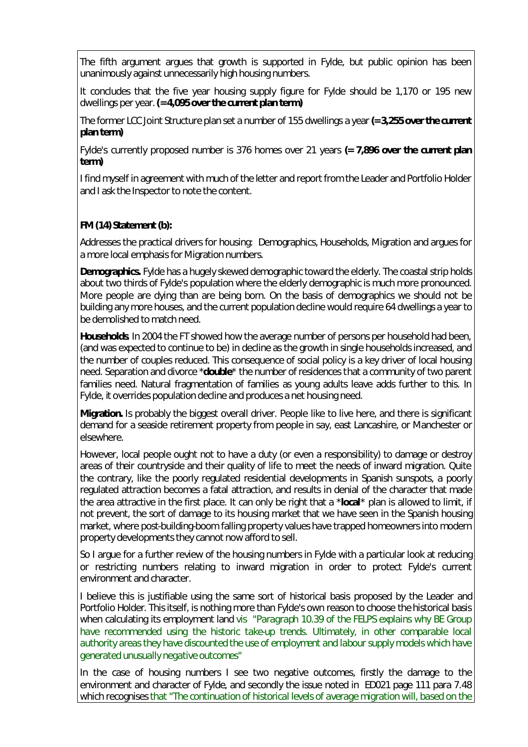The fifth argument argues that growth is supported in Fylde, but public opinion has been unanimously against unnecessarily high housing numbers.

It concludes that the five year housing supply figure for Fylde should be 1,170 or 195 new dwellings per year.**(= 4,095 over the current plan term)**

The former LCC Joint Structure plan set a number of 155 dwellings a year **(= 3,255 over the current plan term)**

Fylde's currently proposed number is 376 homes over 21 years **(= 7,896 over the current plan term)**

I find myself in agreement with much of the letter and report from the Leader and Portfolio Holder and I ask the Inspector to note the content.

**FM (14) Statement (b):**

Addresses the practical drivers for housing: Demographics, Households, Migration and argues for a more local emphasis for Migration numbers.

**Demographics.** Fylde has a hugely skewed demographic toward the elderly. The coastal strip holds about two thirds of Fylde's population where the elderly demographic is much more pronounced. More people are dying than are being born. On the basis of demographics we should not be building any more houses, and the current population decline would require 64 dwellings a year to be demolished to match need.

**Households**. In 2004 the FT showed how the average number of persons per household had been, (and was expected to continue to be) in decline as the growth in single households increased, and the number of couples reduced. This consequence of social policy is a key driver of local housing need. Separation and divorce \***double**\* the number of residences that a community of two parent families need. Natural fragmentation of families as young adults leave adds further to this. In Fylde, it overrides population decline and produces a net housing need.

**Migration.** Is probably the biggest overall driver. People like to live here, and there is significant demand for a seaside retirement property from people in say, east Lancashire, or Manchester or elsewhere.

However, local people ought not to have a duty (or even a responsibility) to damage or destroy areas of their countryside and their quality of life to meet the needs of inward migration. Quite the contrary, like the poorly regulated residential developments in Spanish sunspots, a poorly regulated attraction becomes a fatal attraction, and results in denial of the character that made the area attractive in the first place. It can only be right that a \***local**\* plan is allowed to limit, if not prevent, the sort of damage to its housing market that we have seen in the Spanish housing market, where post-building-boom falling property values have trapped homeowners into modern property developments they cannot now afford to sell.

So I argue for a further review of the housing numbers in Fylde with a particular look at reducing or restricting numbers relating to inward migration in order to protect Fylde's current environment and character.

I believe this is justifiable using the same sort of historical basis proposed by the Leader and Portfolio Holder. This itself, is nothing more than Fylde's own reason to choose the historical basis when calculating its employment land *vis "Paragraph 10.39 of the FELPS explains why BE Group have recommended using the historic take-up trends. Ultimately, in other comparable local authority areas they have discounted the use of employment and labour supply models which have generated unusually negative outcomes"*

In the case of housing numbers I see two negative outcomes, firstly the damage to the environment and character of Fylde, and secondly the issue noted in ED021 page 111 para 7.48 which recognises *that "The continuation of historical levels of average migration will, based on the*